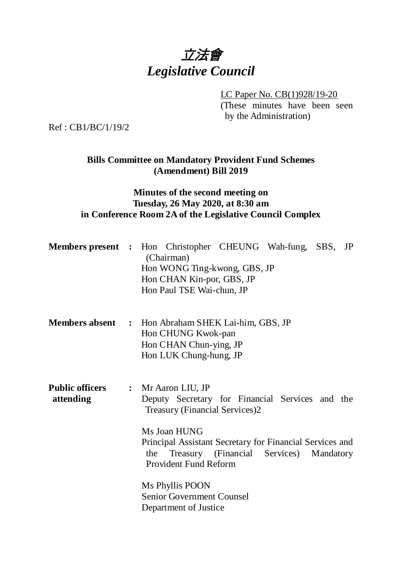

LC Paper No. CB(1)928/19-20

(These minutes have been seen by the Administration)

Ref : CB1/BC/1/19/2

### **Bills Committee on Mandatory Provident Fund Schemes (Amendment) Bill 2019**

#### **Minutes of the second meeting on Tuesday, 26 May 2020, at 8:30 am in Conference Room 2A of the Legislative Council Complex**

|                                     | <b>Members present :</b> Hon Christopher CHEUNG Wah-fung, SBS, JP<br>(Chairman)<br>Hon WONG Ting-kwong, GBS, JP<br>Hon CHAN Kin-por, GBS, JP<br>Hon Paul TSE Wai-chun, JP                                                                                                                                                                                       |
|-------------------------------------|-----------------------------------------------------------------------------------------------------------------------------------------------------------------------------------------------------------------------------------------------------------------------------------------------------------------------------------------------------------------|
|                                     | <b>Members absent : Hon Abraham SHEK Lai-him, GBS, JP</b><br>Hon CHUNG Kwok-pan<br>Hon CHAN Chun-ying, JP<br>Hon LUK Chung-hung, JP                                                                                                                                                                                                                             |
| <b>Public officers</b><br>attending | : Mr Aaron LIU, JP<br>Deputy Secretary for Financial Services and the<br><b>Treasury (Financial Services)2</b><br>Ms Joan HUNG<br>Principal Assistant Secretary for Financial Services and<br>Treasury (Financial Services)<br>Mandatory<br>the<br><b>Provident Fund Reform</b><br>Ms Phyllis POON<br><b>Senior Government Counsel</b><br>Department of Justice |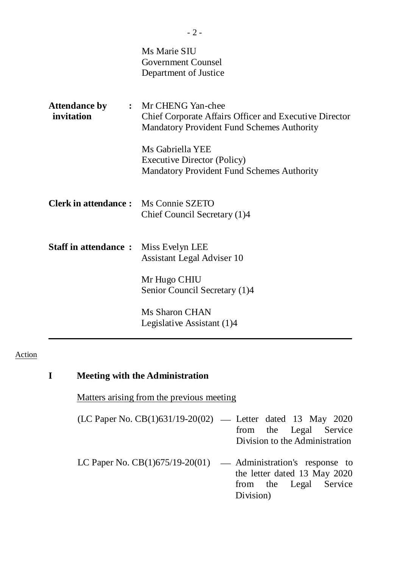|                                             | Ms Marie SIU<br><b>Government Counsel</b><br>Department of Justice                                                                        |
|---------------------------------------------|-------------------------------------------------------------------------------------------------------------------------------------------|
| <b>Attendance by</b><br>invitation          | : Mr CHENG Yan-chee<br><b>Chief Corporate Affairs Officer and Executive Director</b><br><b>Mandatory Provident Fund Schemes Authority</b> |
|                                             | Ms Gabriella YEE<br><b>Executive Director (Policy)</b><br><b>Mandatory Provident Fund Schemes Authority</b>                               |
| <b>Clerk in attendance:</b> Ms Connie SZETO | Chief Council Secretary (1)4                                                                                                              |
| <b>Staff in attendance:</b>                 | Miss Evelyn LEE<br>Assistant Legal Adviser 10                                                                                             |
|                                             | Mr Hugo CHIU<br>Senior Council Secretary (1)4                                                                                             |
|                                             | <b>Ms Sharon CHAN</b><br>Legislative Assistant (1)4                                                                                       |

#### Action

# **I Meeting with the Administration**

Matters arising from the previous meeting

| (LC Paper No. CB(1)631/19-20(02) — Letter dated 13 May 2020 |                                |  |  |
|-------------------------------------------------------------|--------------------------------|--|--|
|                                                             | from the Legal Service         |  |  |
|                                                             | Division to the Administration |  |  |

LC Paper No.  $CB(1)675/19-20(01)$  — Administration's response to the letter dated 13 May 2020 from the Legal Service Division)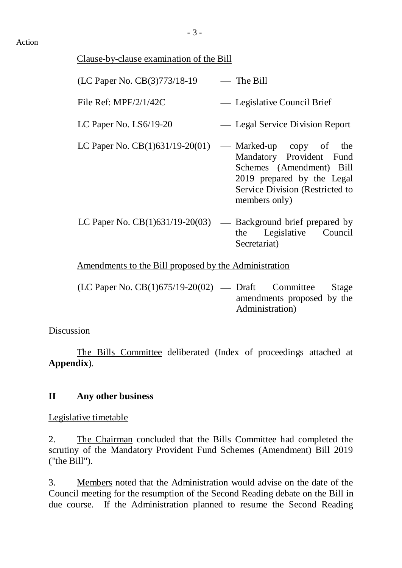### Action

## Clause-by-clause examination of the Bill

| (LC Paper No. CB(3)773/18-19                                     | $-$ The Bill                                                                                                                                                      |
|------------------------------------------------------------------|-------------------------------------------------------------------------------------------------------------------------------------------------------------------|
| File Ref: $MPF/2/1/42C$                                          | — Legislative Council Brief                                                                                                                                       |
| LC Paper No. LS6/19-20                                           | - Legal Service Division Report                                                                                                                                   |
| LC Paper No. $CB(1)631/19-20(01)$                                | — Marked-up copy of the<br>Mandatory Provident Fund<br>Schemes (Amendment) Bill<br>2019 prepared by the Legal<br>Service Division (Restricted to<br>members only) |
| LC Paper No. $CB(1)631/19-20(03)$ — Background brief prepared by | Legislative Council<br>the<br>Secretariat)                                                                                                                        |
| Amendments to the Bill proposed by the Administration            |                                                                                                                                                                   |
| $(TCD)$ M $CD(1)/777(10,0)(00)$ D C O                            |                                                                                                                                                                   |

 $(LC$  Paper No.  $CB(1)675/19-20(02)$  — Draft Committee Stage amendments proposed by the Administration)

### Discussion

The Bills Committee deliberated (Index of proceedings attached at **Appendix**).

# **II Any other business**

Legislative timetable

2. The Chairman concluded that the Bills Committee had completed the scrutiny of the Mandatory Provident Fund Schemes (Amendment) Bill 2019 ("the Bill").

3. Members noted that the Administration would advise on the date of the Council meeting for the resumption of the Second Reading debate on the Bill in due course. If the Administration planned to resume the Second Reading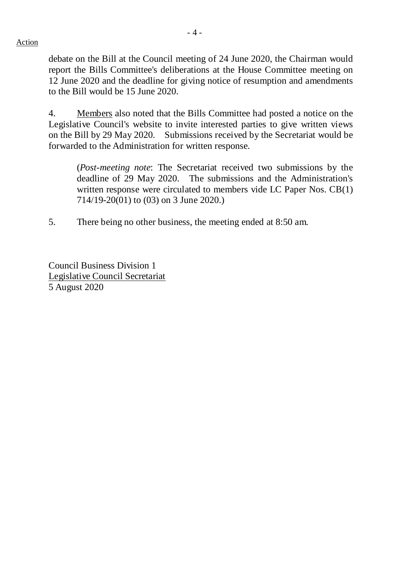Action

- 4 -

debate on the Bill at the Council meeting of 24 June 2020, the Chairman would report the Bills Committee's deliberations at the House Committee meeting on 12 June 2020 and the deadline for giving notice of resumption and amendments to the Bill would be 15 June 2020.

4. Members also noted that the Bills Committee had posted a notice on the Legislative Council's website to invite interested parties to give written views on the Bill by 29 May 2020. Submissions received by the Secretariat would be forwarded to the Administration for written response.

(*Post-meeting note*: The Secretariat received two submissions by the deadline of 29 May 2020. The submissions and the Administration's written response were circulated to members vide LC Paper Nos. CB(1) 714/19-20(01) to (03) on 3 June 2020.)

5. There being no other business, the meeting ended at 8:50 am.

Council Business Division 1 Legislative Council Secretariat 5 August 2020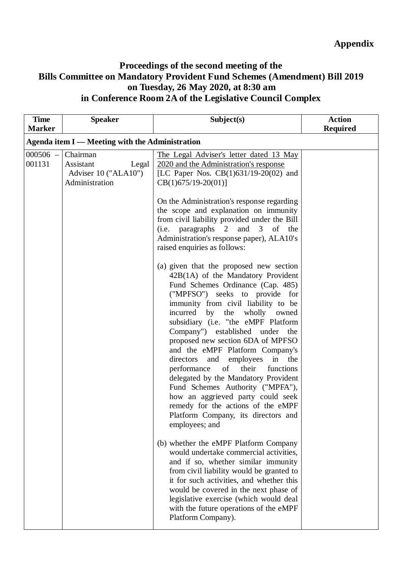## **Proceedings of the second meeting of the Bills Committee on Mandatory Provident Fund Schemes (Amendment) Bill 2019 on Tuesday, 26 May 2020, at 8:30 am in Conference Room 2A of the Legislative Council Complex**

| <b>Time</b><br><b>Marker</b> | <b>Speaker</b>                                                           | Subject(s)                                                                                                                                                                                                                                                                                                                                                                                                                                                                                                                                                                                                                                                                          | <b>Action</b><br><b>Required</b> |  |  |  |  |
|------------------------------|--------------------------------------------------------------------------|-------------------------------------------------------------------------------------------------------------------------------------------------------------------------------------------------------------------------------------------------------------------------------------------------------------------------------------------------------------------------------------------------------------------------------------------------------------------------------------------------------------------------------------------------------------------------------------------------------------------------------------------------------------------------------------|----------------------------------|--|--|--|--|
|                              | Agenda item I — Meeting with the Administration                          |                                                                                                                                                                                                                                                                                                                                                                                                                                                                                                                                                                                                                                                                                     |                                  |  |  |  |  |
| $000506 -$<br>001131         | Chairman<br>Assistant<br>Legal<br>Adviser 10 ("ALA10")<br>Administration | The Legal Adviser's letter dated 13 May<br>2020 and the Administration's response<br>[LC Paper Nos. $CB(1)631/19-20(02)$ and<br>$CB(1)675/19-20(01)$ ]                                                                                                                                                                                                                                                                                                                                                                                                                                                                                                                              |                                  |  |  |  |  |
|                              |                                                                          | On the Administration's response regarding<br>the scope and explanation on immunity<br>from civil liability provided under the Bill<br>(i.e. paragraphs 2 and 3 of the<br>Administration's response paper), ALA10's<br>raised enquiries as follows:                                                                                                                                                                                                                                                                                                                                                                                                                                 |                                  |  |  |  |  |
|                              |                                                                          | (a) given that the proposed new section<br>42B(1A) of the Mandatory Provident<br>Fund Schemes Ordinance (Cap. 485)<br>("MPFSO") seeks to provide for<br>immunity from civil liability to be<br>incurred by the wholly owned<br>subsidiary (i.e. "the eMPF Platform<br>Company") established under<br>the<br>proposed new section 6DA of MPFSO<br>and the eMPF Platform Company's<br>in the<br>directors<br>and employees<br>performance<br>of<br>their<br>functions<br>delegated by the Mandatory Provident<br>Fund Schemes Authority ("MPFA"),<br>how an aggrieved party could seek<br>remedy for the actions of the eMPF<br>Platform Company, its directors and<br>employees; and |                                  |  |  |  |  |
|                              |                                                                          | (b) whether the eMPF Platform Company<br>would undertake commercial activities,<br>and if so, whether similar immunity<br>from civil liability would be granted to<br>it for such activities, and whether this<br>would be covered in the next phase of<br>legislative exercise (which would deal<br>with the future operations of the eMPF<br>Platform Company).                                                                                                                                                                                                                                                                                                                   |                                  |  |  |  |  |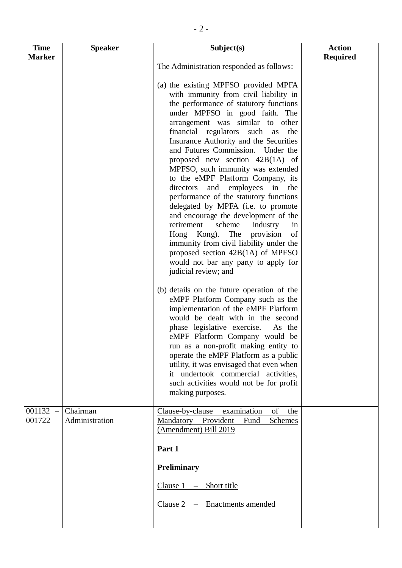| <b>Time</b>      | <b>Speaker</b>             | Subject(s)                                                                                                                                                                                                                                                                                                                                                                                                                                                                                                                                                                                                                                                                                                                                                                                                                                                                                                                                                                                                                                                                                                                                                                                                                                                                                                                                         | <b>Action</b>   |
|------------------|----------------------------|----------------------------------------------------------------------------------------------------------------------------------------------------------------------------------------------------------------------------------------------------------------------------------------------------------------------------------------------------------------------------------------------------------------------------------------------------------------------------------------------------------------------------------------------------------------------------------------------------------------------------------------------------------------------------------------------------------------------------------------------------------------------------------------------------------------------------------------------------------------------------------------------------------------------------------------------------------------------------------------------------------------------------------------------------------------------------------------------------------------------------------------------------------------------------------------------------------------------------------------------------------------------------------------------------------------------------------------------------|-----------------|
|                  |                            |                                                                                                                                                                                                                                                                                                                                                                                                                                                                                                                                                                                                                                                                                                                                                                                                                                                                                                                                                                                                                                                                                                                                                                                                                                                                                                                                                    |                 |
| <b>Marker</b>    |                            | The Administration responded as follows:<br>(a) the existing MPFSO provided MPFA<br>with immunity from civil liability in<br>the performance of statutory functions<br>under MPFSO in good faith. The<br>arrangement was similar to other<br>financial regulators<br>such<br>the<br>as<br>Insurance Authority and the Securities<br>and Futures Commission. Under the<br>proposed new section $42B(1A)$ of<br>MPFSO, such immunity was extended<br>to the eMPF Platform Company, its<br>and employees<br>in<br>directors<br>the<br>performance of the statutory functions<br>delegated by MPFA (i.e. to promote<br>and encourage the development of the<br>retirement<br>scheme<br>industry<br>in<br>Hong Kong). The<br>provision<br>of<br>immunity from civil liability under the<br>proposed section $42B(1A)$ of MPFSO<br>would not bar any party to apply for<br>judicial review; and<br>(b) details on the future operation of the<br>eMPF Platform Company such as the<br>implementation of the eMPF Platform<br>would be dealt with in the second<br>phase legislative exercise.<br>As the<br>eMPF Platform Company would be<br>run as a non-profit making entity to<br>operate the eMPF Platform as a public<br>utility, it was envisaged that even when<br>it undertook commercial activities,<br>such activities would not be for profit | <b>Required</b> |
|                  |                            | making purposes.                                                                                                                                                                                                                                                                                                                                                                                                                                                                                                                                                                                                                                                                                                                                                                                                                                                                                                                                                                                                                                                                                                                                                                                                                                                                                                                                   |                 |
| 001132<br>001722 | Chairman<br>Administration | Clause-by-clause<br>examination<br>of<br>the<br>Mandatory Provident<br>Schemes<br>Fund<br>(Amendment) Bill 2019<br>Part 1                                                                                                                                                                                                                                                                                                                                                                                                                                                                                                                                                                                                                                                                                                                                                                                                                                                                                                                                                                                                                                                                                                                                                                                                                          |                 |
|                  |                            |                                                                                                                                                                                                                                                                                                                                                                                                                                                                                                                                                                                                                                                                                                                                                                                                                                                                                                                                                                                                                                                                                                                                                                                                                                                                                                                                                    |                 |
|                  |                            | <b>Preliminary</b>                                                                                                                                                                                                                                                                                                                                                                                                                                                                                                                                                                                                                                                                                                                                                                                                                                                                                                                                                                                                                                                                                                                                                                                                                                                                                                                                 |                 |
|                  |                            | Short title<br>Clause 1                                                                                                                                                                                                                                                                                                                                                                                                                                                                                                                                                                                                                                                                                                                                                                                                                                                                                                                                                                                                                                                                                                                                                                                                                                                                                                                            |                 |
|                  |                            | Enactments amended<br>Clause $2 -$                                                                                                                                                                                                                                                                                                                                                                                                                                                                                                                                                                                                                                                                                                                                                                                                                                                                                                                                                                                                                                                                                                                                                                                                                                                                                                                 |                 |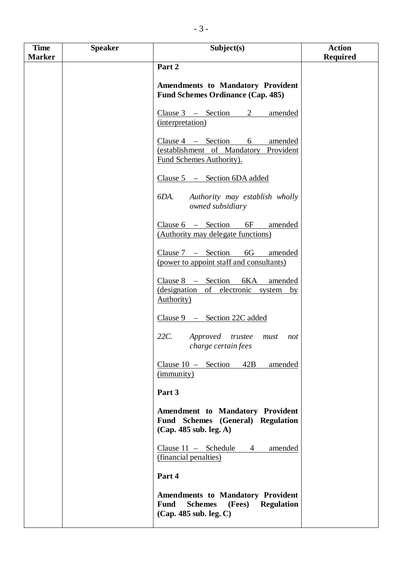| <b>Time</b>   | <b>Speaker</b> | Subject(s)                                                                           | <b>Action</b>   |
|---------------|----------------|--------------------------------------------------------------------------------------|-----------------|
| <b>Marker</b> |                |                                                                                      | <b>Required</b> |
|               |                | Part 2                                                                               |                 |
|               |                |                                                                                      |                 |
|               |                | <b>Amendments to Mandatory Provident</b><br><b>Fund Schemes Ordinance (Cap. 485)</b> |                 |
|               |                |                                                                                      |                 |
|               |                | Clause $3 -$ Section<br>amended<br>2                                                 |                 |
|               |                | (interpretation)                                                                     |                 |
|               |                |                                                                                      |                 |
|               |                | $Clause 4 - Section$<br>6<br>amended                                                 |                 |
|               |                | (establishment of Mandatory Provident                                                |                 |
|               |                | Fund Schemes Authority).                                                             |                 |
|               |                | Clause 5 - Section 6DA added                                                         |                 |
|               |                |                                                                                      |                 |
|               |                | Authority may establish wholly<br>6DA.                                               |                 |
|               |                | owned subsidiary                                                                     |                 |
|               |                |                                                                                      |                 |
|               |                | $Clause 6 - Section 6F$<br>amended                                                   |                 |
|               |                | (Authority may delegate functions)                                                   |                 |
|               |                | Clause $7 - \text{Section} 6G$<br>amended                                            |                 |
|               |                | (power to appoint staff and consultants)                                             |                 |
|               |                |                                                                                      |                 |
|               |                | Clause $8 -$ Section<br>6KA<br>amended                                               |                 |
|               |                | (designation of electronic system<br>by                                              |                 |
|               |                | <b>Authority</b> )                                                                   |                 |
|               |                | Clause 9 - Section 22C added                                                         |                 |
|               |                |                                                                                      |                 |
|               |                | 22C.<br>Approved trustee must<br>not                                                 |                 |
|               |                | charge certain fees                                                                  |                 |
|               |                | 42B<br>Clause $10 -$ Section<br>amended                                              |                 |
|               |                | ( <i>immunity</i> )                                                                  |                 |
|               |                |                                                                                      |                 |
|               |                | Part 3                                                                               |                 |
|               |                |                                                                                      |                 |
|               |                | <b>Amendment to Mandatory Provident</b><br>Fund Schemes (General) Regulation         |                 |
|               |                | (Cap. 485 sub. leg. A)                                                               |                 |
|               |                |                                                                                      |                 |
|               |                | $Clause 11 - Schedule$<br>amended<br>$\overline{4}$                                  |                 |
|               |                | (financial penalties)                                                                |                 |
|               |                | Part 4                                                                               |                 |
|               |                |                                                                                      |                 |
|               |                | <b>Amendments to Mandatory Provident</b>                                             |                 |
|               |                | <b>Fund</b><br>(Fees)<br><b>Regulation</b><br><b>Schemes</b>                         |                 |
|               |                | (Cap. 485 sub. leg. C)                                                               |                 |
|               |                |                                                                                      |                 |